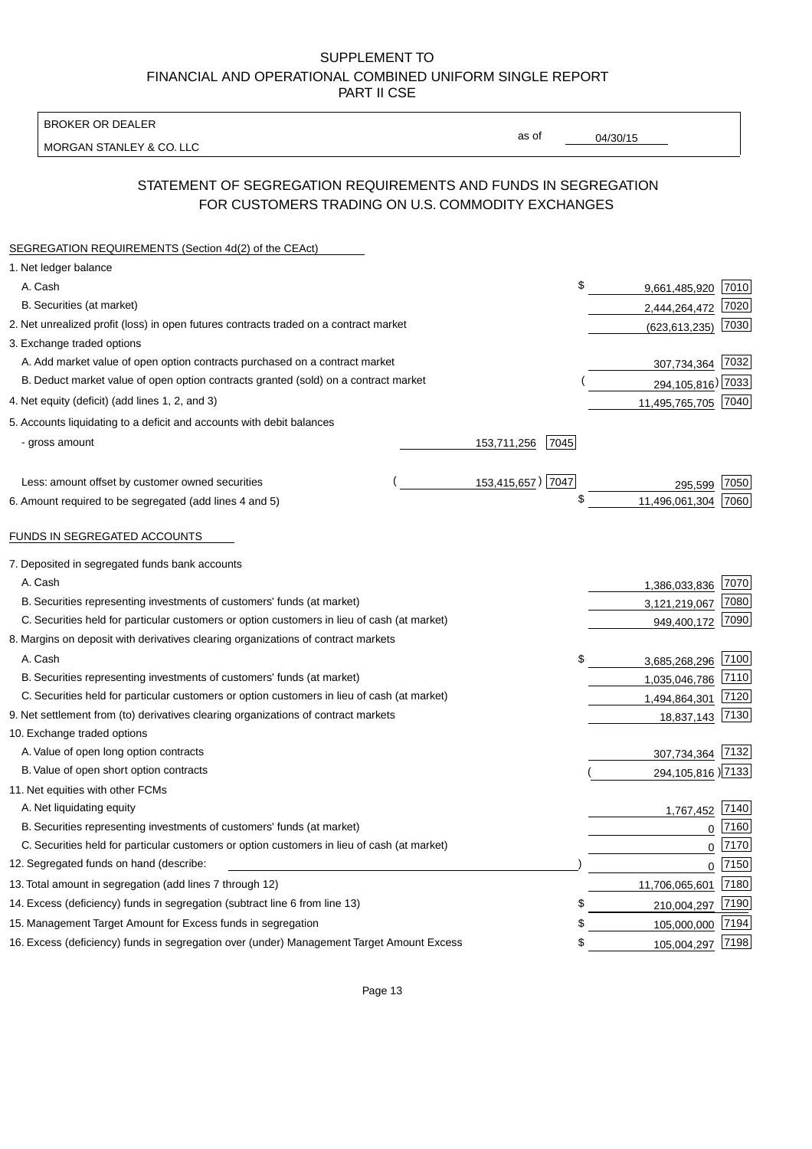BROKER OR DEALER

MORGAN STANLEY & CO. LLC

04/30/15

as of

# STATEMENT OF SEGREGATION REQUIREMENTS AND FUNDS IN SEGREGATION FOR CUSTOMERS TRADING ON U.S. COMMODITY EXCHANGES

| SEGREGATION REQUIREMENTS (Section 4d(2) of the CEAct)                                       |                     |                     |      |
|---------------------------------------------------------------------------------------------|---------------------|---------------------|------|
| 1. Net ledger balance                                                                       |                     |                     |      |
| A. Cash                                                                                     | \$                  | 9,661,485,920       | 7010 |
| B. Securities (at market)                                                                   |                     | 2,444,264,472       | 7020 |
| 2. Net unrealized profit (loss) in open futures contracts traded on a contract market       |                     | (623, 613, 235)     | 7030 |
| 3. Exchange traded options                                                                  |                     |                     |      |
| A. Add market value of open option contracts purchased on a contract market                 |                     | 307,734,364 7032    |      |
| B. Deduct market value of open option contracts granted (sold) on a contract market         |                     | 294, 105, 816) 7033 |      |
| 4. Net equity (deficit) (add lines 1, 2, and 3)                                             |                     | 11,495,765,705 7040 |      |
| 5. Accounts liquidating to a deficit and accounts with debit balances                       |                     |                     |      |
| - gross amount                                                                              | 153,711,256<br>7045 |                     |      |
|                                                                                             |                     |                     |      |
| Less: amount offset by customer owned securities                                            | 153,415,657) 7047   | 295,599             | 7050 |
| 6. Amount required to be segregated (add lines 4 and 5)                                     | \$                  | 11,496,061,304      | 7060 |
|                                                                                             |                     |                     |      |
| FUNDS IN SEGREGATED ACCOUNTS                                                                |                     |                     |      |
| 7. Deposited in segregated funds bank accounts                                              |                     |                     |      |
| A. Cash                                                                                     |                     | 1,386,033,836       | 7070 |
| B. Securities representing investments of customers' funds (at market)                      |                     | 3,121,219,067       | 7080 |
| C. Securities held for particular customers or option customers in lieu of cash (at market) |                     | 949,400,172         | 7090 |
| 8. Margins on deposit with derivatives clearing organizations of contract markets           |                     |                     |      |
| A. Cash                                                                                     | \$                  | 3,685,268,296       | 7100 |
| B. Securities representing investments of customers' funds (at market)                      |                     | 1,035,046,786       | 7110 |
| C. Securities held for particular customers or option customers in lieu of cash (at market) |                     | 1,494,864,301       | 7120 |
| 9. Net settlement from (to) derivatives clearing organizations of contract markets          |                     | 18,837,143 7130     |      |
| 10. Exchange traded options                                                                 |                     |                     |      |
| A. Value of open long option contracts                                                      |                     | 307,734,364 7132    |      |
| B. Value of open short option contracts                                                     |                     | 294, 105, 816 2133  |      |
| 11. Net equities with other FCMs                                                            |                     |                     |      |
| A. Net liquidating equity                                                                   |                     | 1,767,452           | 7140 |
| B. Securities representing investments of customers' funds (at market)                      |                     | $\Omega$            | 7160 |
| C. Securities held for particular customers or option customers in lieu of cash (at market) |                     | $\mathbf 0$         | 7170 |
| 12. Segregated funds on hand (describe:                                                     |                     | $\mathbf 0$         | 7150 |
| 13. Total amount in segregation (add lines 7 through 12)                                    |                     | 11,706,065,601      | 7180 |
| 14. Excess (deficiency) funds in segregation (subtract line 6 from line 13)                 | \$                  | 210,004,297         | 7190 |
| 15. Management Target Amount for Excess funds in segregation                                | \$                  | 105,000,000         | 7194 |
| 16. Excess (deficiency) funds in segregation over (under) Management Target Amount Excess   | \$                  | 105,004,297         | 7198 |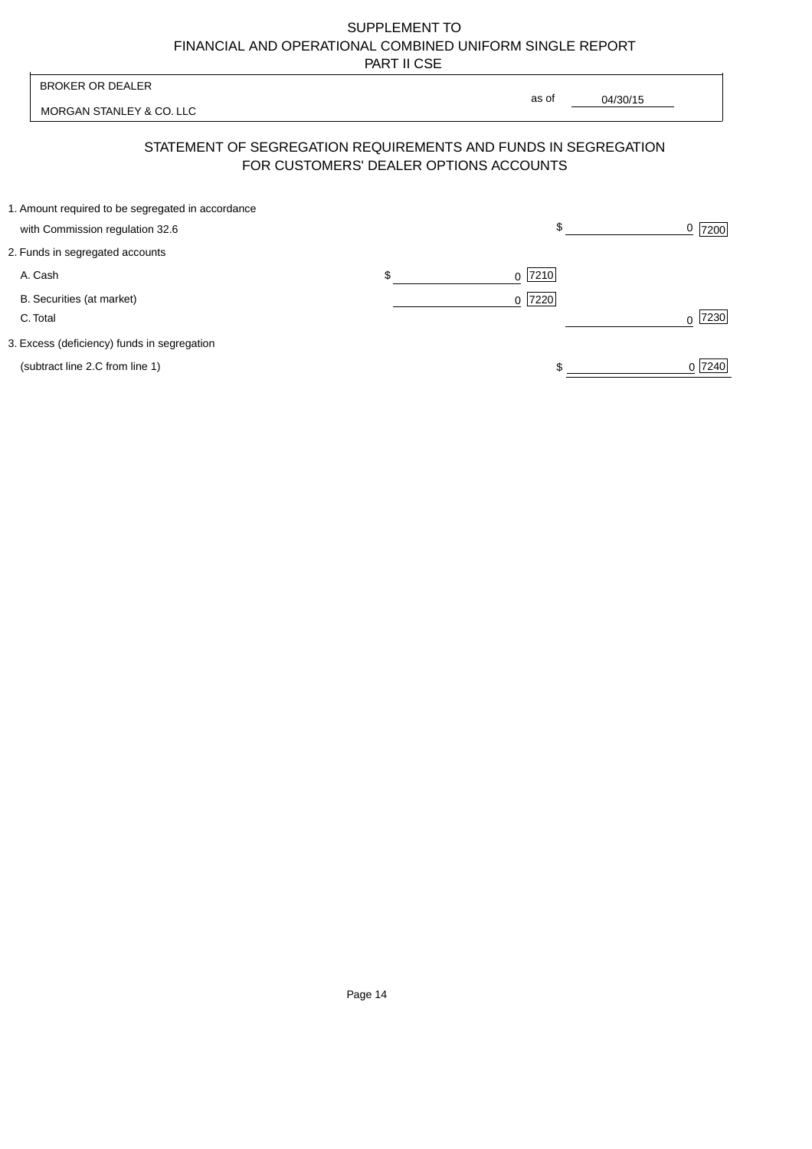| <b>BROKER OR DEALER</b>                                                              | as of                                  |          |                  |
|--------------------------------------------------------------------------------------|----------------------------------------|----------|------------------|
| MORGAN STANLEY & CO. LLC                                                             |                                        | 04/30/15 |                  |
| STATEMENT OF SEGREGATION REQUIREMENTS AND FUNDS IN SEGREGATION                       | FOR CUSTOMERS' DEALER OPTIONS ACCOUNTS |          |                  |
| 1. Amount required to be segregated in accordance<br>with Commission regulation 32.6 |                                        | \$       | 0<br>7200        |
| 2. Funds in segregated accounts                                                      |                                        |          |                  |
| A. Cash                                                                              | \$<br>7210<br><sup>0</sup>             |          |                  |
| B. Securities (at market)<br>C. Total                                                | 0 7220                                 |          | 7230<br>$\Omega$ |
| 3. Excess (deficiency) funds in segregation                                          |                                        |          |                  |
| (subtract line 2.C from line 1)                                                      |                                        |          | 0 7240           |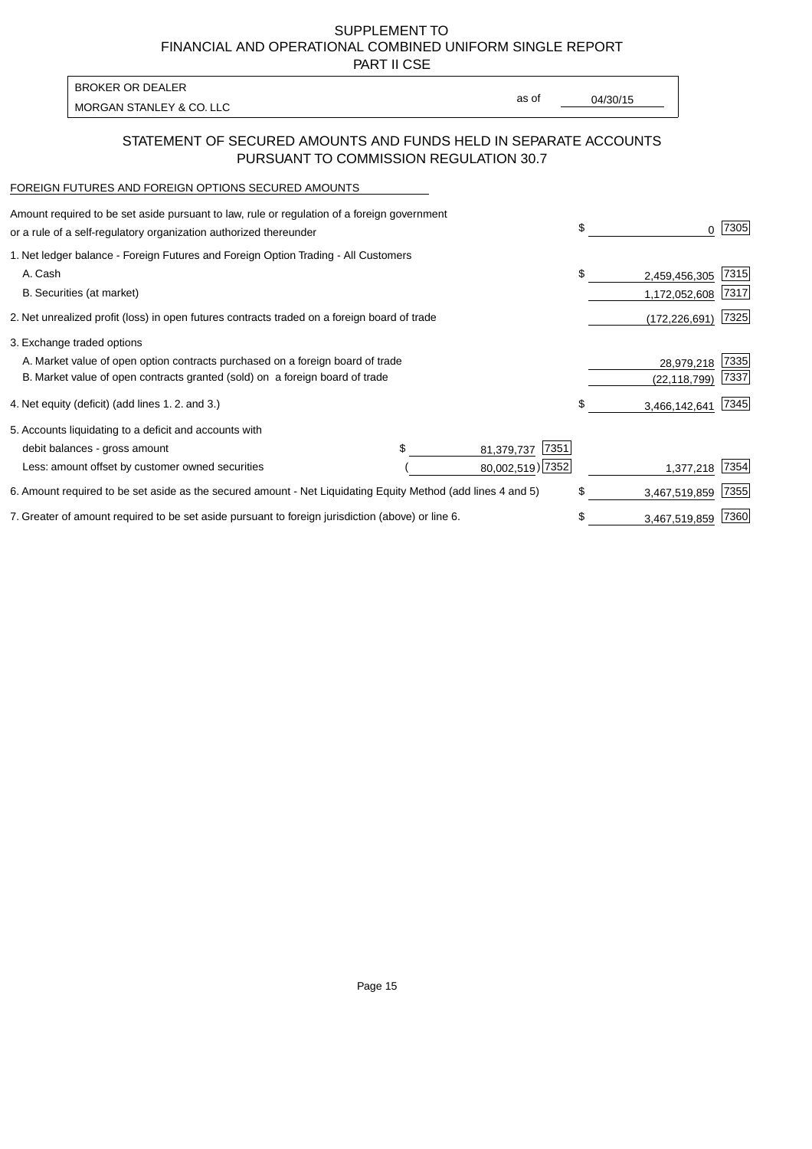PART II CSE

| BROKER OR DEALER         |       |          |
|--------------------------|-------|----------|
| MORGAN STANLEY & CO. LLC | as of | 04/30/15 |
|                          |       |          |

### STATEMENT OF SECURED AMOUNTS AND FUNDS HELD IN SEPARATE ACCOUNTS PURSUANT TO COMMISSION REGULATION 30.7

#### FOREIGN FUTURES AND FOREIGN OPTIONS SECURED AMOUNTS

| 1. Net ledger balance - Foreign Futures and Foreign Option Trading - All Customers<br>A. Cash<br>\$<br>2,459,456,305<br>B. Securities (at market)<br>1,172,052,608<br>2. Net unrealized profit (loss) in open futures contracts traded on a foreign board of trade<br>(172, 226, 691)<br>3. Exchange traded options<br>A. Market value of open option contracts purchased on a foreign board of trade<br>28,979,218<br>B. Market value of open contracts granted (sold) on a foreign board of trade<br>(22, 118, 799)<br>4. Net equity (deficit) (add lines 1. 2. and 3.)<br>\$<br>3,466,142,641<br>5. Accounts liquidating to a deficit and accounts with<br>7351<br>debit balances - gross amount<br>81,379,737<br>80,002,519) 7352<br>Less: amount offset by customer owned securities<br>1,377,218<br>\$<br>6. Amount required to be set aside as the secured amount - Net Liquidating Equity Method (add lines 4 and 5)<br>3,467,519,859<br>7. Greater of amount required to be set aside pursuant to foreign jurisdiction (above) or line 6.<br>\$<br>3,467,519,859 | Amount required to be set aside pursuant to law, rule or regulation of a foreign government<br>or a rule of a self-regulatory organization authorized thereunder |  |  | \$<br>0 | 7305 |
|---------------------------------------------------------------------------------------------------------------------------------------------------------------------------------------------------------------------------------------------------------------------------------------------------------------------------------------------------------------------------------------------------------------------------------------------------------------------------------------------------------------------------------------------------------------------------------------------------------------------------------------------------------------------------------------------------------------------------------------------------------------------------------------------------------------------------------------------------------------------------------------------------------------------------------------------------------------------------------------------------------------------------------------------------------------------------|------------------------------------------------------------------------------------------------------------------------------------------------------------------|--|--|---------|------|
|                                                                                                                                                                                                                                                                                                                                                                                                                                                                                                                                                                                                                                                                                                                                                                                                                                                                                                                                                                                                                                                                           |                                                                                                                                                                  |  |  |         |      |
|                                                                                                                                                                                                                                                                                                                                                                                                                                                                                                                                                                                                                                                                                                                                                                                                                                                                                                                                                                                                                                                                           |                                                                                                                                                                  |  |  |         | 7315 |
|                                                                                                                                                                                                                                                                                                                                                                                                                                                                                                                                                                                                                                                                                                                                                                                                                                                                                                                                                                                                                                                                           |                                                                                                                                                                  |  |  |         | 7317 |
|                                                                                                                                                                                                                                                                                                                                                                                                                                                                                                                                                                                                                                                                                                                                                                                                                                                                                                                                                                                                                                                                           |                                                                                                                                                                  |  |  |         | 7325 |
|                                                                                                                                                                                                                                                                                                                                                                                                                                                                                                                                                                                                                                                                                                                                                                                                                                                                                                                                                                                                                                                                           |                                                                                                                                                                  |  |  |         |      |
|                                                                                                                                                                                                                                                                                                                                                                                                                                                                                                                                                                                                                                                                                                                                                                                                                                                                                                                                                                                                                                                                           |                                                                                                                                                                  |  |  |         | 7335 |
|                                                                                                                                                                                                                                                                                                                                                                                                                                                                                                                                                                                                                                                                                                                                                                                                                                                                                                                                                                                                                                                                           |                                                                                                                                                                  |  |  |         | 7337 |
|                                                                                                                                                                                                                                                                                                                                                                                                                                                                                                                                                                                                                                                                                                                                                                                                                                                                                                                                                                                                                                                                           |                                                                                                                                                                  |  |  |         | 7345 |
|                                                                                                                                                                                                                                                                                                                                                                                                                                                                                                                                                                                                                                                                                                                                                                                                                                                                                                                                                                                                                                                                           |                                                                                                                                                                  |  |  |         |      |
|                                                                                                                                                                                                                                                                                                                                                                                                                                                                                                                                                                                                                                                                                                                                                                                                                                                                                                                                                                                                                                                                           |                                                                                                                                                                  |  |  |         |      |
|                                                                                                                                                                                                                                                                                                                                                                                                                                                                                                                                                                                                                                                                                                                                                                                                                                                                                                                                                                                                                                                                           |                                                                                                                                                                  |  |  |         | 7354 |
|                                                                                                                                                                                                                                                                                                                                                                                                                                                                                                                                                                                                                                                                                                                                                                                                                                                                                                                                                                                                                                                                           |                                                                                                                                                                  |  |  |         | 7355 |
|                                                                                                                                                                                                                                                                                                                                                                                                                                                                                                                                                                                                                                                                                                                                                                                                                                                                                                                                                                                                                                                                           |                                                                                                                                                                  |  |  |         | 7360 |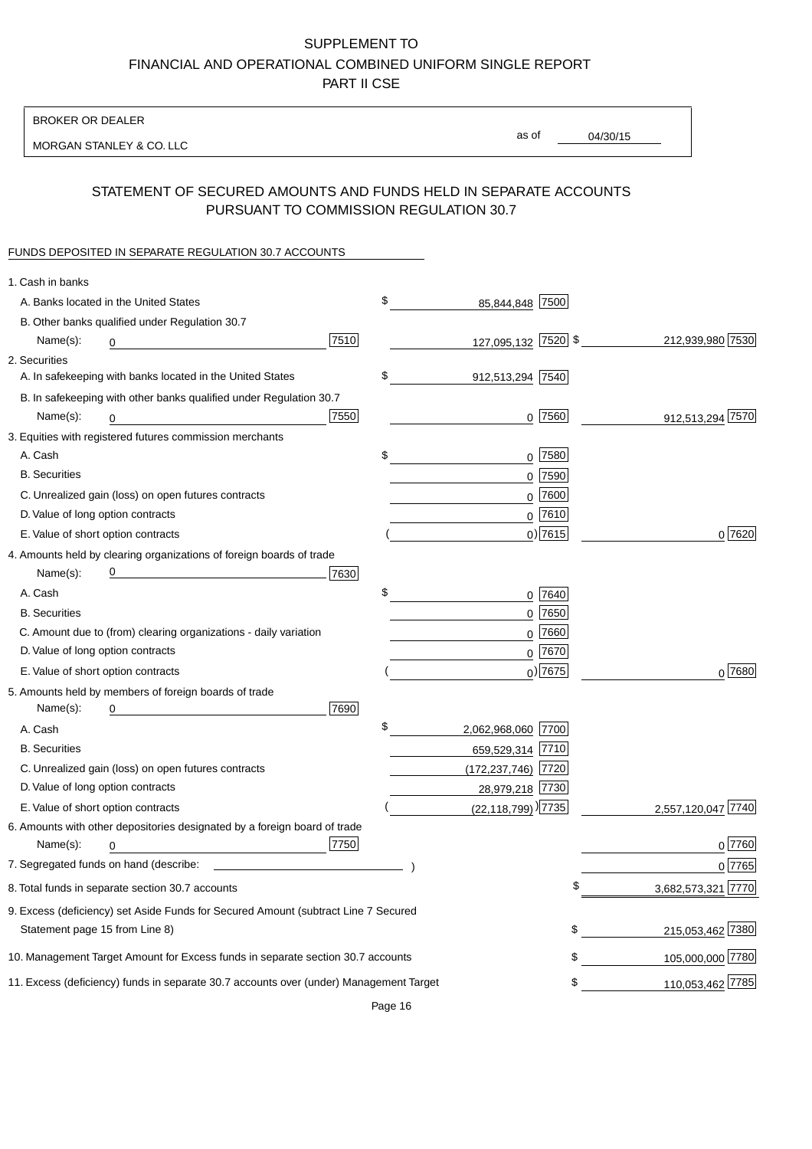BROKER OR DEALER

MORGAN STANLEY & CO. LLC

04/30/15

as of

# STATEMENT OF SECURED AMOUNTS AND FUNDS HELD IN SEPARATE ACCOUNTS PURSUANT TO COMMISSION REGULATION 30.7

#### FUNDS DEPOSITED IN SEPARATE REGULATION 30.7 ACCOUNTS

| 1. Cash in banks                                                                       |                                |                    |
|----------------------------------------------------------------------------------------|--------------------------------|--------------------|
| A. Banks located in the United States                                                  | \$<br>85,844,848 7500          |                    |
| B. Other banks qualified under Regulation 30.7                                         |                                |                    |
| 7510<br>Name(s):<br>0                                                                  | 127,095,132 7520 \$            | 212,939,980 7530   |
| 2. Securities                                                                          |                                |                    |
| A. In safekeeping with banks located in the United States                              | \$<br>912,513,294 7540         |                    |
| B. In safekeeping with other banks qualified under Regulation 30.7                     |                                |                    |
| 7550<br>Name(s):<br>0                                                                  | $0$   $7560$                   | 912,513,294 7570   |
| 3. Equities with registered futures commission merchants                               |                                |                    |
| A. Cash                                                                                | \$<br>$0$ 7580                 |                    |
| <b>B.</b> Securities                                                                   | $0$ 7590                       |                    |
| C. Unrealized gain (loss) on open futures contracts                                    | 0 7600                         |                    |
| D. Value of long option contracts                                                      | $0$ 7610                       |                    |
| E. Value of short option contracts                                                     | $0$ ) 7615                     | 0 7620             |
| 4. Amounts held by clearing organizations of foreign boards of trade                   |                                |                    |
| <u> 1989 - Johann Barbara, martxa alemaniar a</u><br>7630<br>Name(s):                  |                                |                    |
| A. Cash                                                                                | \$<br>0 7640                   |                    |
| <b>B.</b> Securities                                                                   | $0$ 7650                       |                    |
| C. Amount due to (from) clearing organizations - daily variation                       | $0$ 7660                       |                    |
| D. Value of long option contracts                                                      | 0 7670                         |                    |
| E. Value of short option contracts                                                     | $_0$ ) 7675                    | $0^{7680}$         |
| 5. Amounts held by members of foreign boards of trade                                  |                                |                    |
| Name(s):<br>7690<br>0                                                                  |                                |                    |
| A. Cash                                                                                | \$<br>2,062,968,060 7700       |                    |
| <b>B.</b> Securities                                                                   | 659,529,314 7710               |                    |
| C. Unrealized gain (loss) on open futures contracts                                    | (172,237,746) 7720             |                    |
| D. Value of long option contracts                                                      | 28,979,218 7730                |                    |
| E. Value of short option contracts                                                     | (22,118,799) <sup>)</sup> 7735 | 2,557,120,047 7740 |
| 6. Amounts with other depositories designated by a foreign board of trade              |                                |                    |
| 7750<br>Name(s):<br>0                                                                  |                                | $0$ 7760           |
|                                                                                        |                                | 0 7765             |
| 8. Total funds in separate section 30.7 accounts                                       | \$                             | 3,682,573,321 7770 |
| 9. Excess (deficiency) set Aside Funds for Secured Amount (subtract Line 7 Secured     |                                |                    |
| Statement page 15 from Line 8)                                                         | \$                             | 215,053,462 7380   |
| 10. Management Target Amount for Excess funds in separate section 30.7 accounts        | \$                             | 105,000,000 7780   |
| 11. Excess (deficiency) funds in separate 30.7 accounts over (under) Management Target | \$                             | 110,053,462 7785   |